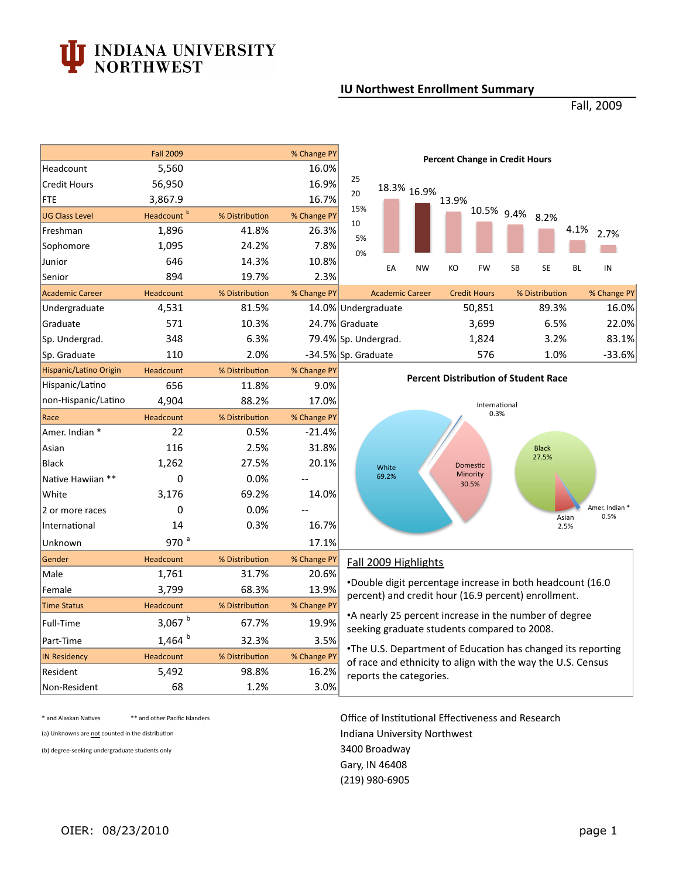## **INDIANA UNIVERSITY<br>NORTHWEST**

## **IU Northwest Enrollment Summary**

Fall, 2009

|                        | <b>Fall 2009</b>       |                | % Change PY | <b>Percent Change in Credit Hours</b>                                                                                                                                                                                     |       |                        |                                                              |                     |    |                |               |                        |
|------------------------|------------------------|----------------|-------------|---------------------------------------------------------------------------------------------------------------------------------------------------------------------------------------------------------------------------|-------|------------------------|--------------------------------------------------------------|---------------------|----|----------------|---------------|------------------------|
| Headcount              | 5,560                  |                | 16.0%       | 25                                                                                                                                                                                                                        |       |                        |                                                              |                     |    |                |               |                        |
| <b>Credit Hours</b>    | 56,950                 |                | 16.9%       | 20                                                                                                                                                                                                                        |       | 18.3% 16.9%            |                                                              |                     |    |                |               |                        |
| <b>FTE</b>             | 3,867.9                |                | 16.7%       | 15%                                                                                                                                                                                                                       |       |                        | 13.9%                                                        |                     |    |                |               |                        |
| <b>UG Class Level</b>  | Headcount <sup>b</sup> | % Distribution | % Change PY | 10                                                                                                                                                                                                                        |       |                        |                                                              | 10.5% 9.4%          |    | 8.2%           |               |                        |
| Freshman               | 1,896                  | 41.8%          | 26.3%       | 5%                                                                                                                                                                                                                        |       |                        |                                                              |                     |    |                | 4.1%          | 2.7%                   |
| Sophomore              | 1,095                  | 24.2%          | 7.8%        | 0%                                                                                                                                                                                                                        |       |                        |                                                              |                     |    |                |               |                        |
| Junior                 | 646                    | 14.3%          | 10.8%       |                                                                                                                                                                                                                           | EA    | <b>NW</b>              | KO                                                           | <b>FW</b>           | SB | <b>SE</b>      | <b>BL</b>     | IN                     |
| Senior                 | 894                    | 19.7%          | 2.3%        |                                                                                                                                                                                                                           |       |                        |                                                              |                     |    |                |               |                        |
| <b>Academic Career</b> | Headcount              | % Distribution | % Change PY |                                                                                                                                                                                                                           |       | <b>Academic Career</b> |                                                              | <b>Credit Hours</b> |    | % Distribution |               | % Change PY            |
| Undergraduate          | 4,531                  | 81.5%          |             | 14.0% Undergraduate                                                                                                                                                                                                       |       |                        |                                                              | 50,851              |    | 89.3%          |               | 16.0%                  |
| Graduate               | 571                    | 10.3%          |             | 24.7% Graduate                                                                                                                                                                                                            |       |                        |                                                              | 3,699               |    | 6.5%           |               | 22.0%                  |
| Sp. Undergrad.         | 348                    | 6.3%           |             | 79.4% Sp. Undergrad.                                                                                                                                                                                                      |       |                        |                                                              | 1,824               |    | 3.2%           |               | 83.1%                  |
| Sp. Graduate           | 110                    | 2.0%           |             | -34.5% Sp. Graduate                                                                                                                                                                                                       |       |                        |                                                              | 576                 |    | 1.0%           |               | $-33.6%$               |
| Hispanic/Latino Origin | Headcount              | % Distribution | % Change PY | <b>Percent Distribution of Student Race</b>                                                                                                                                                                               |       |                        |                                                              |                     |    |                |               |                        |
| Hispanic/Latino        | 656                    | 11.8%          | 9.0%        |                                                                                                                                                                                                                           |       |                        |                                                              |                     |    |                |               |                        |
| non-Hispanic/Latino    | 4,904                  | 88.2%          | 17.0%       |                                                                                                                                                                                                                           |       |                        |                                                              | International       |    |                |               |                        |
| Race                   | Headcount              | % Distribution | % Change PY |                                                                                                                                                                                                                           |       |                        |                                                              | 0.3%                |    |                |               |                        |
| Amer. Indian *         | 22                     | 0.5%           | $-21.4%$    |                                                                                                                                                                                                                           |       |                        |                                                              |                     |    |                |               |                        |
| Asian                  | 116                    | 2.5%           | 31.8%       |                                                                                                                                                                                                                           |       |                        |                                                              |                     |    | <b>Black</b>   |               |                        |
| <b>Black</b>           | 1,262                  | 27.5%          | 20.1%       |                                                                                                                                                                                                                           | White |                        |                                                              | <b>Domestic</b>     |    | 27.5%          |               |                        |
| Native Hawiian **      | $\mathbf 0$            | 0.0%           | $-$         |                                                                                                                                                                                                                           | 69.2% |                        |                                                              | Minority<br>30.5%   |    |                |               |                        |
| White                  | 3,176                  | 69.2%          | 14.0%       |                                                                                                                                                                                                                           |       |                        |                                                              |                     |    |                |               |                        |
| 2 or more races        | $\mathbf 0$            | 0.0%           |             |                                                                                                                                                                                                                           |       |                        |                                                              |                     |    |                |               | Amer. Indian *<br>0.5% |
| International          | 14                     | 0.3%           | 16.7%       |                                                                                                                                                                                                                           |       |                        |                                                              |                     |    |                | Asian<br>2.5% |                        |
| Unknown                | 970 <sup>a</sup>       |                | 17.1%       |                                                                                                                                                                                                                           |       |                        |                                                              |                     |    |                |               |                        |
| Gender                 | Headcount              | % Distribution | % Change PY |                                                                                                                                                                                                                           |       | Fall 2009 Highlights   |                                                              |                     |    |                |               |                        |
| Male                   | 1,761                  | 31.7%          | 20.6%       |                                                                                                                                                                                                                           |       |                        |                                                              |                     |    |                |               |                        |
| Female                 | 3,799                  | 68.3%          | 13.9%       | .Double digit percentage increase in both headcount (16.0)<br>percent) and credit hour (16.9 percent) enrollment.<br>•A nearly 25 percent increase in the number of degree<br>seeking graduate students compared to 2008. |       |                        |                                                              |                     |    |                |               |                        |
| <b>Time Status</b>     | Headcount              | % Distribution | % Change PY |                                                                                                                                                                                                                           |       |                        |                                                              |                     |    |                |               |                        |
| Full-Time              | 3,067 $b$              | 67.7%          | 19.9%       |                                                                                                                                                                                                                           |       |                        |                                                              |                     |    |                |               |                        |
| Part-Time              | 1,464 $b$              | 32.3%          | 3.5%        |                                                                                                                                                                                                                           |       |                        |                                                              |                     |    |                |               |                        |
| <b>IN Residency</b>    | Headcount              | % Distribution | % Change PY |                                                                                                                                                                                                                           |       |                        | . The U.S. Department of Education has changed its reporting |                     |    |                |               |                        |
| Resident               | 5,492                  | 98.8%          | 16.2%       | of race and ethnicity to align with the way the U.S. Census<br>reports the categories.                                                                                                                                    |       |                        |                                                              |                     |    |                |               |                        |
| Non-Resident           | 68                     | 1.2%           | 3.0%        |                                                                                                                                                                                                                           |       |                        |                                                              |                     |    |                |               |                        |

(a) Unknowns are not counted in the distribution

(b) degree-seeking undergraduate students only  $3400\ \mathtt{Broadway}$ 

\* and Alaskan Natives \*\* and other Pacific Islanders **Office of Institutional Effectiveness and Research Office of Institutional Effectiveness and Research**  Gary, IN 46408 Indiana University Northwest (219) 980-6905